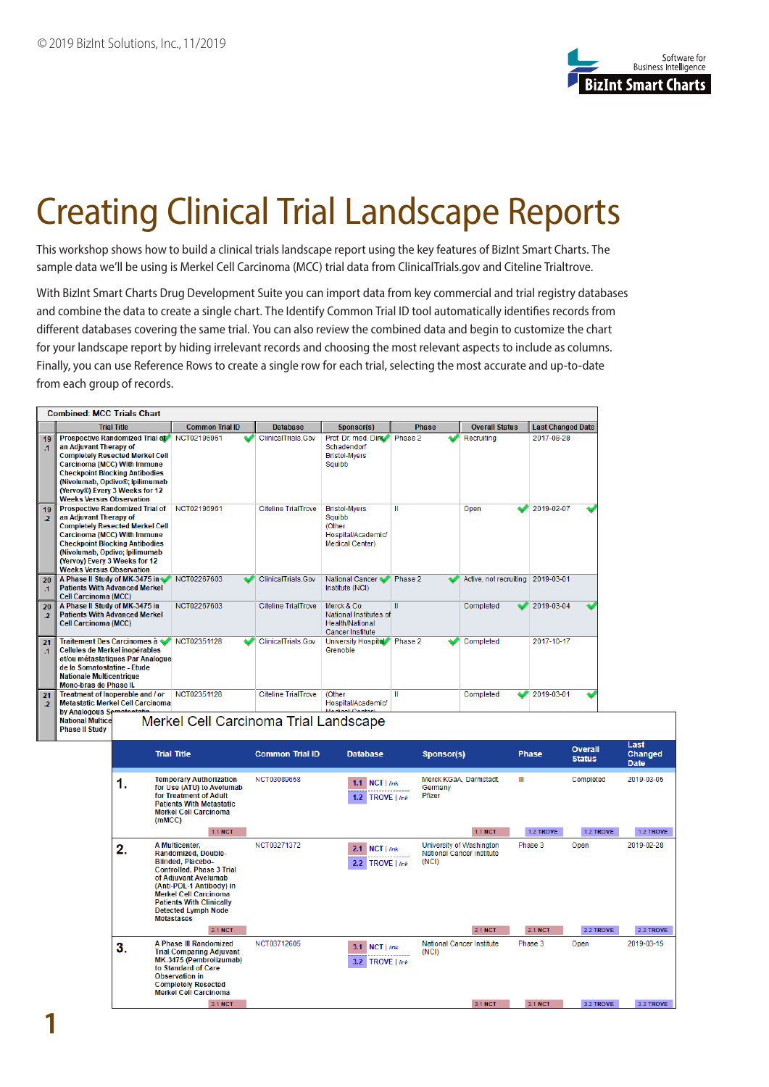

## Creating Clinical Trial Landscape Reports

This workshop shows how to build a clinical trials landscape report using the key features of BizInt Smart Charts. The sample data we'll be using is Merkel Cell Carcinoma (MCC) trial data from ClinicalTrials.gov and Citeline Trialtrove.

With BizInt Smart Charts Drug Development Suite you can import data from key commercial and trial registry databases and combine the data to create a single chart. The Identify Common Trial ID tool automatically identifies records from different databases covering the same trial. You can also review the combined data and begin to customize the chart for your landscape report by hiding irrelevant records and choosing the most relevant aspects to include as columns. Finally, you can use Reference Rows to create a single row for each trial, selecting the most accurate and up-to-date from each group of records.



3.1 NCT

3.1 NCT

3.2 TROVE

3.2 TROVE

3.1 NCT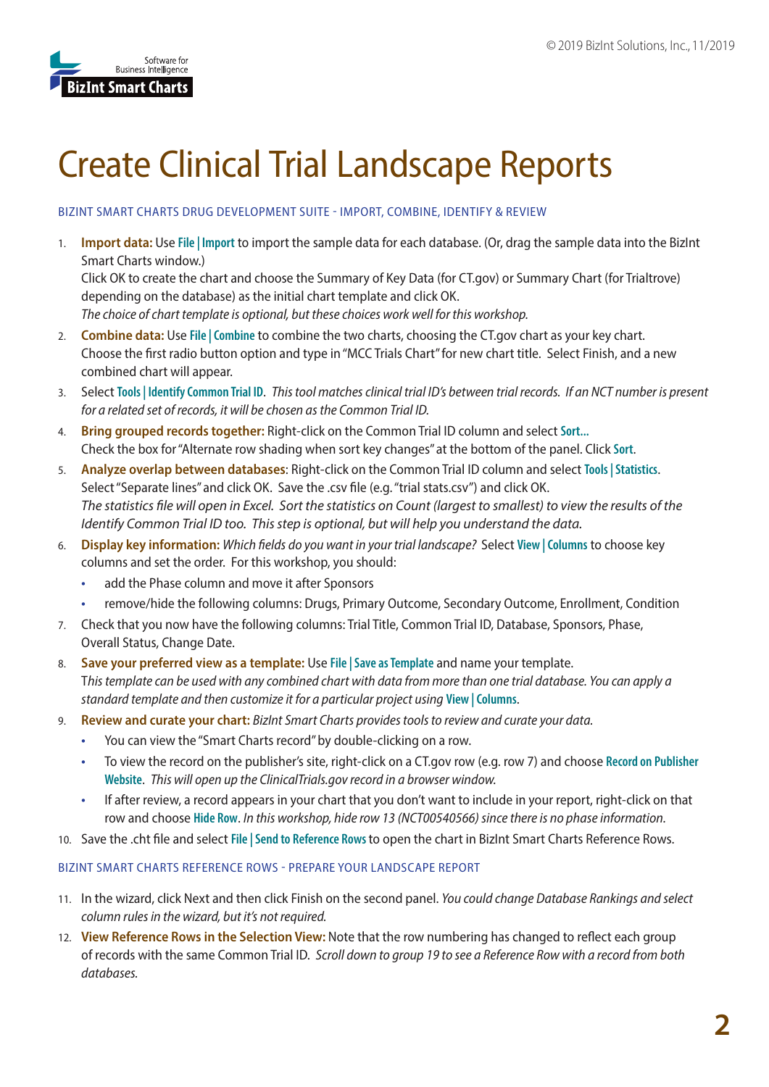

## Create Clinical Trial Landscape Reports

## BIZINT SMART CHARTS DRUG DEVELOPMENT SUITE - IMPORT, COMBINE, IDENTIFY & REVIEW

1. **Import data:** Use **File | Import** to import the sample data for each database. (Or, drag the sample data into the BizInt Smart Charts window.)

Click OK to create the chart and choose the Summary of Key Data (for CT.gov) or Summary Chart (for Trialtrove) depending on the database) as the initial chart template and click OK.

*The choice of chart template is optional, but these choices work well for this workshop.*

- 2. **Combine data:** Use **File | Combine** to combine the two charts, choosing the CT.gov chart as your key chart. Choose the first radio button option and type in "MCC Trials Chart" for new chart title. Select Finish, and a new combined chart will appear.
- 3. Select **Tools | Identify Common Trial ID**. *This tool matches clinical trial ID's between trial records. If an NCT number is present for a related set of records, it will be chosen as the Common Trial ID.*
- 4. **Bring grouped records together:** Right-click on the Common Trial ID column and select **Sort...** Check the box for "Alternate row shading when sort key changes" at the bottom of the panel. Click **Sort**.
- 5. **Analyze overlap between databases**: Right-click on the Common Trial ID column and select **Tools | Statistics**. Select "Separate lines" and click OK. Save the .csv file (e.g. "trial stats.csv") and click OK. The statistics file will open in Excel. Sort the statistics on Count (largest to smallest) to view the results of the Identify Common Trial ID too. This step is optional, but will help you understand the data.
- 6. **Display key information:** *Which fields do you want in your trial landscape?* Select **View | Columns** to choose key columns and set the order. For this workshop, you should:
	- add the Phase column and move it after Sponsors
	- remove/hide the following columns: Drugs, Primary Outcome, Secondary Outcome, Enrollment, Condition
- 7. Check that you now have the following columns: Trial Title, Common Trial ID, Database, Sponsors, Phase, Overall Status, Change Date.
- 8. **Save your preferred view as a template:** Use **File | Save as Template** and name your template. T*his template can be used with any combined chart with data from more than one trial database. You can apply a standard template and then customize it for a particular project using* **View | Columns**.
- 9. **Review and curate your chart:** *BizInt Smart Charts provides tools to review and curate your data.* 
	- You can view the "Smart Charts record" by double-clicking on a row.
	- To view the record on the publisher's site, right-click on a CT.gov row (e.g. row 7) and choose **Record on Publisher Website**. *This will open up the ClinicalTrials.gov record in a browser window.*
	- If after review, a record appears in your chart that you don't want to include in your report, right-click on that row and choose **Hide Row**. *In this workshop, hide row 13 (NCT00540566) since there is no phase information.*
- 10. Save the .cht file and select **File | Send to Reference Rows** to open the chart in BizInt Smart Charts Reference Rows.

## BIZINT SMART CHARTS REFERENCE ROWS - PREPARE YOUR LANDSCAPE REPORT

- 11. In the wizard, click Next and then click Finish on the second panel. *You could change Database Rankings and select column rules in the wizard, but it's not required.*
- 12. **View Reference Rows in the Selection View:** Note that the row numbering has changed to reflect each group of records with the same Common Trial ID. *Scroll down to group 19 to see a Reference Row with a record from both databases.*